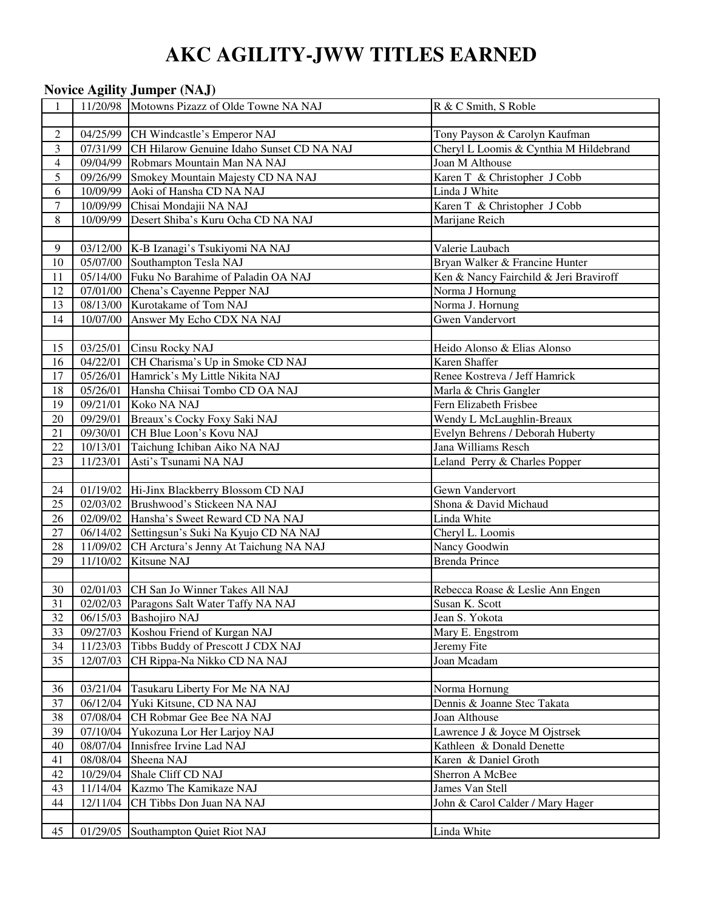# **AKC AGILITY-JWW TITLES EARNED**

#### **Novice Agility Jumper (NAJ)**

| $\mathbf{1}$   |                   | 11/20/98 Motowns Pizazz of Olde Towne NA NAJ       | R & C Smith, S Roble                   |
|----------------|-------------------|----------------------------------------------------|----------------------------------------|
|                |                   |                                                    |                                        |
| $\overline{c}$ |                   | 04/25/99 CH Windcastle's Emperor NAJ               | Tony Payson & Carolyn Kaufman          |
| 3              |                   | 07/31/99 CH Hilarow Genuine Idaho Sunset CD NA NAJ | Cheryl L Loomis & Cynthia M Hildebrand |
| $\overline{4}$ | 09/04/99          | Robmars Mountain Man NA NAJ                        | Joan M Althouse                        |
| 5              | 09/26/99          | Smokey Mountain Majesty CD NA NAJ                  | Karen T & Christopher J Cobb           |
| 6              | 10/09/99          | Aoki of Hansha CD NA NAJ                           | Linda J White                          |
| $\tau$         | 10/09/99          | Chisai Mondajii NA NAJ                             | Karen T & Christopher J Cobb           |
| 8              | 10/09/99          | Desert Shiba's Kuru Ocha CD NA NAJ                 | Marijane Reich                         |
|                |                   |                                                    |                                        |
| 9              |                   | 03/12/00 K-B Izanagi's Tsukiyomi NA NAJ            | Valerie Laubach                        |
| 10             |                   | 05/07/00 Southampton Tesla NAJ                     | Bryan Walker & Francine Hunter         |
| 11             |                   | 05/14/00 Fuku No Barahime of Paladin OA NAJ        | Ken & Nancy Fairchild & Jeri Braviroff |
| 12             | 07/01/00          | Chena's Cayenne Pepper NAJ                         | Norma J Hornung                        |
| 13             | 08/13/00          | Kurotakame of Tom NAJ                              | Norma J. Hornung                       |
| 14             | 10/07/00          | Answer My Echo CDX NA NAJ                          | <b>Gwen Vandervort</b>                 |
|                |                   |                                                    |                                        |
| 15             |                   | 03/25/01 Cinsu Rocky NAJ                           | Heido Alonso & Elias Alonso            |
| 16             | $\sqrt{04/22/01}$ | CH Charisma's Up in Smoke CD NAJ                   | Karen Shaffer                          |
| 17             | 05/26/01          | Hamrick's My Little Nikita NAJ                     | Renee Kostreva / Jeff Hamrick          |
| 18             | 05/26/01          | Hansha Chiisai Tombo CD OA NAJ                     | Marla & Chris Gangler                  |
| 19             | 09/21/01          | Koko NA NAJ                                        | Fern Elizabeth Frisbee                 |
| 20             | 09/29/01          | Breaux's Cocky Foxy Saki NAJ                       | Wendy L McLaughlin-Breaux              |
| 21             | 09/30/01          | CH Blue Loon's Kovu NAJ                            | Evelyn Behrens / Deborah Huberty       |
| 22             | 10/13/01          | Taichung Ichiban Aiko NA NAJ                       | Jana Williams Resch                    |
| 23             | 11/23/01          | Asti's Tsunami NA NAJ                              | Leland Perry & Charles Popper          |
|                |                   |                                                    |                                        |
| 24             |                   | 01/19/02 Hi-Jinx Blackberry Blossom CD NAJ         | Gewn Vandervort                        |
| 25             |                   | 02/03/02 Brushwood's Stickeen NA NAJ               | Shona & David Michaud                  |
| 26             | 02/09/02          | Hansha's Sweet Reward CD NA NAJ                    | Linda White                            |
| 27             | 06/14/02          | Settingsun's Suki Na Kyujo CD NA NAJ               | Cheryl L. Loomis                       |
| 28             | 11/09/02          | CH Arctura's Jenny At Taichung NA NAJ              | Nancy Goodwin                          |
| 29             | 11/10/02          | Kitsune NAJ                                        | <b>Brenda Prince</b>                   |
|                |                   |                                                    |                                        |
|                |                   |                                                    |                                        |
| 30             |                   | 02/01/03 CH San Jo Winner Takes All NAJ            | Rebecca Roase & Leslie Ann Engen       |
| 31             |                   | 02/02/03 Paragons Salt Water Taffy NA NAJ          | Susan K. Scott                         |
| 32             | 06/15/03          | <b>Bashojiro NAJ</b>                               | Jean S. Yokota                         |
| 33             | 09/27/03          | Koshou Friend of Kurgan NAJ                        | Mary E. Engstrom                       |
| 34             | 11/23/03          | Tibbs Buddy of Prescott J CDX NAJ                  | Jeremy Fite                            |
| 35             | 12/07/03          | CH Rippa-Na Nikko CD NA NAJ                        | Joan Mcadam                            |
|                |                   |                                                    |                                        |
| 36             | 03/21/04          | Tasukaru Liberty For Me NA NAJ                     | Norma Hornung                          |
| 37             | 06/12/04          | Yuki Kitsune, CD NA NAJ                            | Dennis & Joanne Stec Takata            |
| 38             | 07/08/04          | CH Robmar Gee Bee NA NAJ                           | Joan Althouse                          |
| 39             | 07/10/04          | Yukozuna Lor Her Larjoy NAJ                        | Lawrence J & Joyce M Ojstrsek          |
| 40             | 08/07/04          | Innisfree Irvine Lad NAJ                           | Kathleen & Donald Denette              |
| 41             | 08/08/04          | Sheena NAJ                                         | Karen & Daniel Groth                   |
| 42             | 10/29/04          | Shale Cliff CD NAJ                                 | Sherron A McBee                        |
| 43             | 11/14/04          | Kazmo The Kamikaze NAJ                             | James Van Stell                        |
| 44             | 12/11/04          | CH Tibbs Don Juan NA NAJ                           | John & Carol Calder / Mary Hager       |
|                |                   |                                                    |                                        |
| 45             | 01/29/05          | Southampton Quiet Riot NAJ                         | Linda White                            |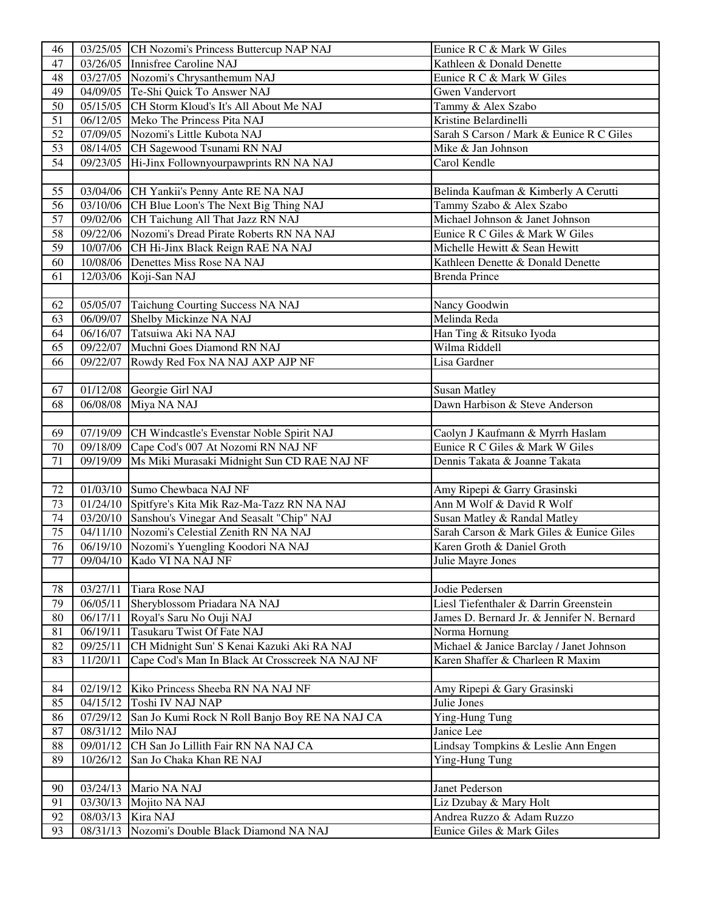| 46       |          | 03/25/05 CH Nozomi's Princess Buttercup NAP NAJ        | Eunice R C & Mark W Giles                                                    |
|----------|----------|--------------------------------------------------------|------------------------------------------------------------------------------|
| 47       | 03/26/05 | Innisfree Caroline NAJ                                 | Kathleen & Donald Denette                                                    |
| 48       |          | 03/27/05 Nozomi's Chrysanthemum NAJ                    | Eunice R C & Mark W Giles                                                    |
| 49       |          | 04/09/05 Te-Shi Quick To Answer NAJ                    | Gwen Vandervort                                                              |
| 50       |          | 05/15/05 CH Storm Kloud's It's All About Me NAJ        | Tammy & Alex Szabo                                                           |
| 51       | 06/12/05 | Meko The Princess Pita NAJ                             | Kristine Belardinelli                                                        |
| 52       | 07/09/05 | Nozomi's Little Kubota NAJ                             | Sarah S Carson / Mark & Eunice R C Giles                                     |
| 53       | 08/14/05 | CH Sagewood Tsunami RN NAJ                             | Mike & Jan Johnson                                                           |
| 54       | 09/23/05 | Hi-Jinx Follownyourpawprints RN NA NAJ                 | Carol Kendle                                                                 |
|          |          |                                                        |                                                                              |
| 55       |          | 03/04/06 CH Yankii's Penny Ante RE NA NAJ              | Belinda Kaufman & Kimberly A Cerutti                                         |
| 56       |          | 03/10/06 CH Blue Loon's The Next Big Thing NAJ         | Tammy Szabo & Alex Szabo                                                     |
| 57       |          | 09/02/06 CH Taichung All That Jazz RN NAJ              | Michael Johnson & Janet Johnson                                              |
| 58       |          | 09/22/06 Nozomi's Dread Pirate Roberts RN NA NAJ       | Eunice R C Giles & Mark W Giles                                              |
| 59       |          | 10/07/06 CH Hi-Jinx Black Reign RAE NA NAJ             | Michelle Hewitt & Sean Hewitt                                                |
| 60       | 10/08/06 | Denettes Miss Rose NA NAJ                              | Kathleen Denette & Donald Denette                                            |
| 61       | 12/03/06 | Koji-San NAJ                                           | <b>Brenda Prince</b>                                                         |
|          |          |                                                        |                                                                              |
| 62       | 05/05/07 | Taichung Courting Success NA NAJ                       | Nancy Goodwin                                                                |
| 63       | 06/09/07 | Shelby Mickinze NA NAJ                                 | Melinda Reda                                                                 |
| 64       | 06/16/07 | Tatsuiwa Aki NA NAJ                                    | Han Ting & Ritsuko Iyoda                                                     |
| 65       | 09/22/07 | Muchni Goes Diamond RN NAJ                             | Wilma Riddell                                                                |
| 66       | 09/22/07 | Rowdy Red Fox NA NAJ AXP AJP NF                        | Lisa Gardner                                                                 |
|          |          |                                                        |                                                                              |
| 67       | 01/12/08 | Georgie Girl NAJ                                       | <b>Susan Matley</b>                                                          |
| 68       | 06/08/08 | Miya NA NAJ                                            | Dawn Harbison & Steve Anderson                                               |
|          |          |                                                        |                                                                              |
| 69       |          | 07/19/09 CH Windcastle's Evenstar Noble Spirit NAJ     | Caolyn J Kaufmann & Myrrh Haslam                                             |
| 70       | 09/18/09 | Cape Cod's 007 At Nozomi RN NAJ NF                     | Eunice R C Giles & Mark W Giles                                              |
| 71       | 09/19/09 | Ms Miki Murasaki Midnight Sun CD RAE NAJ NF            | Dennis Takata & Joanne Takata                                                |
|          |          |                                                        |                                                                              |
| 72       |          | 01/03/10 Sumo Chewbaca NAJ NF                          | Amy Ripepi & Garry Grasinski                                                 |
| 73       | 01/24/10 | Spitfyre's Kita Mik Raz-Ma-Tazz RN NA NAJ              | Ann M Wolf & David R Wolf                                                    |
| 74       |          | 03/20/10 Sanshou's Vinegar And Seasalt "Chip" NAJ      | Susan Matley & Randal Matley                                                 |
| 75       |          | 04/11/10 Nozomi's Celestial Zenith RN NA NAJ           | Sarah Carson & Mark Giles & Eunice Giles                                     |
| 76       |          | 06/19/10 Nozomi's Yuengling Koodori NA NAJ             | Karen Groth & Daniel Groth                                                   |
| 77       |          | 09/04/10 Kado VI NA NAJ NF                             | Julie Mayre Jones                                                            |
|          |          |                                                        |                                                                              |
| 78       | 03/27/11 | Tiara Rose NAJ                                         | Jodie Pedersen                                                               |
| 79       | 06/05/11 | Sheryblossom Priadara NA NAJ                           | Liesl Tiefenthaler & Darrin Greenstein                                       |
| 80       | 06/17/11 | Royal's Saru No Ouji NAJ<br>Tasukaru Twist Of Fate NAJ | James D. Bernard Jr. & Jennifer N. Bernard                                   |
| 81<br>82 | 06/19/11 |                                                        | Norma Hornung                                                                |
| 83       | 09/25/11 | CH Midnight Sun' S Kenai Kazuki Aki RA NAJ             | Michael & Janice Barclay / Janet Johnson<br>Karen Shaffer & Charleen R Maxim |
|          | 11/20/11 | Cape Cod's Man In Black At Crosscreek NA NAJ NF        |                                                                              |
| 84       | 02/19/12 | Kiko Princess Sheeba RN NA NAJ NF                      | Amy Ripepi & Gary Grasinski                                                  |
| 85       | 04/15/12 | Toshi IV NAJ NAP                                       | Julie Jones                                                                  |
| 86       | 07/29/12 | San Jo Kumi Rock N Roll Banjo Boy RE NA NAJ CA         | Ying-Hung Tung                                                               |
| 87       | 08/31/12 | Milo NAJ                                               | Janice Lee                                                                   |
| 88       | 09/01/12 | CH San Jo Lillith Fair RN NA NAJ CA                    | Lindsay Tompkins & Leslie Ann Engen                                          |
| 89       | 10/26/12 | San Jo Chaka Khan RE NAJ                               | Ying-Hung Tung                                                               |
|          |          |                                                        |                                                                              |
| 90       | 03/24/13 | Mario NA NAJ                                           | Janet Pederson                                                               |
| 91       | 03/30/13 | Mojito NA NAJ                                          | Liz Dzubay & Mary Holt                                                       |
| 92       | 08/03/13 | Kira NAJ                                               | Andrea Ruzzo & Adam Ruzzo                                                    |
| 93       | 08/31/13 | Nozomi's Double Black Diamond NA NAJ                   | Eunice Giles & Mark Giles                                                    |
|          |          |                                                        |                                                                              |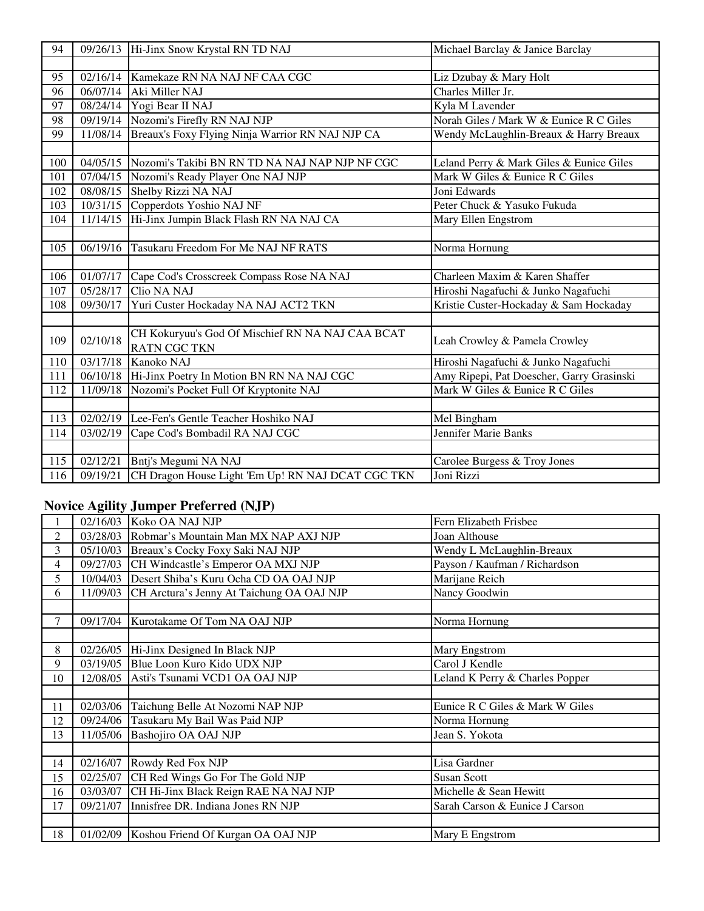| 94  |          | 09/26/13 Hi-Jinx Snow Krystal RN TD NAJ           | Michael Barclay & Janice Barclay          |
|-----|----------|---------------------------------------------------|-------------------------------------------|
|     |          |                                                   |                                           |
| 95  | 02/16/14 | Kamekaze RN NA NAJ NF CAA CGC                     | Liz Dzubay & Mary Holt                    |
| 96  | 06/07/14 | Aki Miller NAJ                                    | Charles Miller Jr.                        |
| 97  |          | 08/24/14 Yogi Bear II NAJ                         | Kyla M Lavender                           |
| 98  | 09/19/14 | Nozomi's Firefly RN NAJ NJP                       | Norah Giles / Mark W & Eunice R C Giles   |
| 99  | 11/08/14 | Breaux's Foxy Flying Ninja Warrior RN NAJ NJP CA  | Wendy McLaughlin-Breaux & Harry Breaux    |
|     |          |                                                   |                                           |
| 100 | 04/05/15 | Nozomi's Takibi BN RN TD NA NAJ NAP NJP NF CGC    | Leland Perry & Mark Giles & Eunice Giles  |
| 101 | 07/04/15 | Nozomi's Ready Player One NAJ NJP                 | Mark W Giles & Eunice R C Giles           |
| 102 | 08/08/15 | Shelby Rizzi NA NAJ                               | Joni Edwards                              |
| 103 | 10/31/15 | Copperdots Yoshio NAJ NF                          | Peter Chuck & Yasuko Fukuda               |
| 104 | 11/14/15 | Hi-Jinx Jumpin Black Flash RN NA NAJ CA           | Mary Ellen Engstrom                       |
|     |          |                                                   |                                           |
| 105 | 06/19/16 | Tasukaru Freedom For Me NAJ NF RATS               | Norma Hornung                             |
|     |          |                                                   |                                           |
| 106 | 01/07/17 | Cape Cod's Crosscreek Compass Rose NA NAJ         | Charleen Maxim & Karen Shaffer            |
| 107 | 05/28/17 | Clio NA NAJ                                       | Hiroshi Nagafuchi & Junko Nagafuchi       |
| 108 | 09/30/17 | Yuri Custer Hockaday NA NAJ ACT2 TKN              | Kristie Custer-Hockaday & Sam Hockaday    |
|     |          |                                                   |                                           |
| 109 | 02/10/18 | CH Kokuryuu's God Of Mischief RN NA NAJ CAA BCAT  | Leah Crowley & Pamela Crowley             |
|     |          | <b>RATN CGC TKN</b>                               |                                           |
| 110 | 03/17/18 | Kanoko NAJ                                        | Hiroshi Nagafuchi & Junko Nagafuchi       |
| 111 | 06/10/18 | Hi-Jinx Poetry In Motion BN RN NA NAJ CGC         | Amy Ripepi, Pat Doescher, Garry Grasinski |
| 112 | 11/09/18 | Nozomi's Pocket Full Of Kryptonite NAJ            | Mark W Giles & Eunice R C Giles           |
|     |          |                                                   |                                           |
| 113 | 02/02/19 | Lee-Fen's Gentle Teacher Hoshiko NAJ              | Mel Bingham                               |
| 114 | 03/02/19 | Cape Cod's Bombadil RA NAJ CGC                    | Jennifer Marie Banks                      |
|     |          |                                                   |                                           |
| 115 | 02/12/21 | Bntj's Megumi NA NAJ                              | Carolee Burgess & Troy Jones              |
| 116 | 09/19/21 | CH Dragon House Light 'Em Up! RN NAJ DCAT CGC TKN | Joni Rizzi                                |

## **Novice Agility Jumper Preferred (NJP)**

|                | 02/16/03          | Koko OA NAJ NJP                                 | Fern Elizabeth Frisbee          |
|----------------|-------------------|-------------------------------------------------|---------------------------------|
| 2              | 03/28/03          | Robmar's Mountain Man MX NAP AXJ NJP            | Joan Althouse                   |
| 3              |                   | 05/10/03 Breaux's Cocky Foxy Saki NAJ NJP       | Wendy L McLaughlin-Breaux       |
| $\overline{4}$ |                   | 09/27/03 CH Windcastle's Emperor OA MXJ NJP     | Payson / Kaufman / Richardson   |
| 5              |                   | 10/04/03 Desert Shiba's Kuru Ocha CD OA OAJ NJP | Marijane Reich                  |
| 6              | 11/09/03          | CH Arctura's Jenny At Taichung OA OAJ NJP       | Nancy Goodwin                   |
|                |                   |                                                 |                                 |
| 7              | 09/17/04          | Kurotakame Of Tom NA OAJ NJP                    | Norma Hornung                   |
|                |                   |                                                 |                                 |
| 8              | 02/26/05          | Hi-Jinx Designed In Black NJP                   | Mary Engstrom                   |
| 9              | 03/19/05          | Blue Loon Kuro Kido UDX NJP                     | Carol J Kendle                  |
| 10             | 12/08/05          | Asti's Tsunami VCD1 OA OAJ NJP                  | Leland K Perry & Charles Popper |
|                |                   |                                                 |                                 |
| 11             | $\sqrt{02}/03/06$ | Taichung Belle At Nozomi NAP NJP                | Eunice R C Giles & Mark W Giles |
| 12             | 09/24/06          | Tasukaru My Bail Was Paid NJP                   | Norma Hornung                   |
| 13             | 11/05/06          | Bashojiro OA OAJ NJP                            | Jean S. Yokota                  |
|                |                   |                                                 |                                 |
| 14             | 02/16/07          | Rowdy Red Fox NJP                               | Lisa Gardner                    |
| 15             | 02/25/07          | CH Red Wings Go For The Gold NJP                | <b>Susan Scott</b>              |
| 16             | 03/03/07          | CH Hi-Jinx Black Reign RAE NA NAJ NJP           | Michelle & Sean Hewitt          |
| 17             | 09/21/07          | Innisfree DR. Indiana Jones RN NJP              | Sarah Carson & Eunice J Carson  |
|                |                   |                                                 |                                 |
| 18             |                   | 01/02/09 Koshou Friend Of Kurgan OA OAJ NJP     | Mary E Engstrom                 |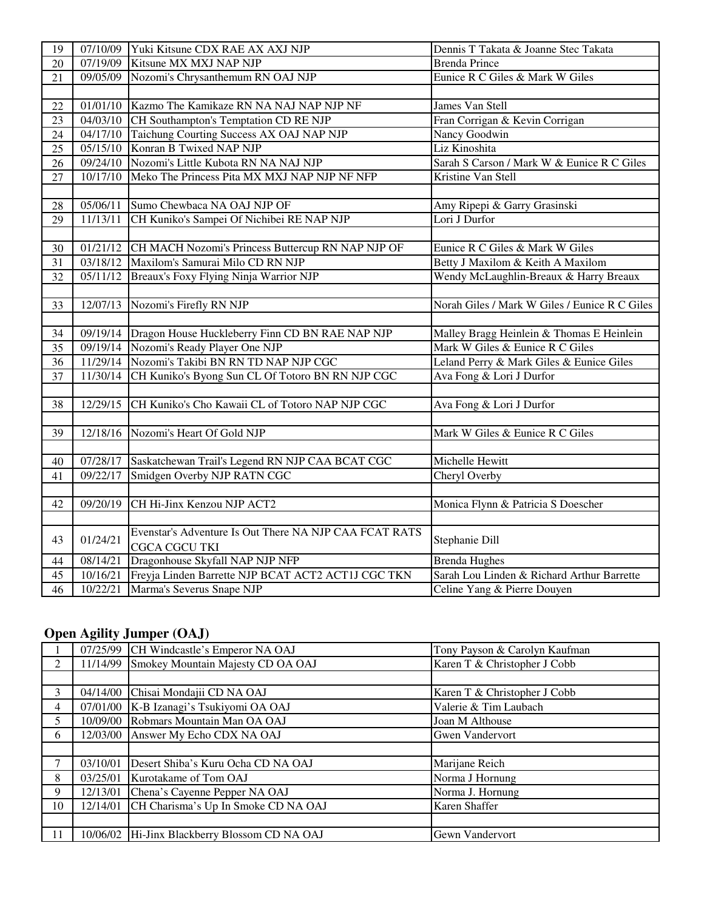| 19     |          | 07/10/09 Yuki Kitsune CDX RAE AX AXJ NJP                 | Dennis T Takata & Joanne Stec Takata          |
|--------|----------|----------------------------------------------------------|-----------------------------------------------|
| 20     | 07/19/09 | Kitsune MX MXJ NAP NJP                                   | <b>Brenda Prince</b>                          |
| 21     | 09/05/09 | Nozomi's Chrysanthemum RN OAJ NJP                        | Eunice R C Giles & Mark W Giles               |
|        |          |                                                          |                                               |
| 22     | 01/01/10 | Kazmo The Kamikaze RN NA NAJ NAP NJP NF                  | James Van Stell                               |
| 23     | 04/03/10 | CH Southampton's Temptation CD RE NJP                    | Fran Corrigan & Kevin Corrigan                |
| 24     | 04/17/10 | Taichung Courting Success AX OAJ NAP NJP                 | Nancy Goodwin                                 |
| 25     | 05/15/10 | Konran B Twixed NAP NJP                                  | Liz Kinoshita                                 |
| 26     | 09/24/10 | Nozomi's Little Kubota RN NA NAJ NJP                     | Sarah S Carson / Mark W & Eunice R C Giles    |
| 27     | 10/17/10 | Meko The Princess Pita MX MXJ NAP NJP NF NFP             | Kristine Van Stell                            |
|        |          |                                                          |                                               |
| $28\,$ | 05/06/11 | Sumo Chewbaca NA OAJ NJP OF                              | Amy Ripepi & Garry Grasinski                  |
| 29     | 11/13/11 | CH Kuniko's Sampei Of Nichibei RE NAP NJP                | Lori J Durfor                                 |
|        |          |                                                          |                                               |
| 30     | 01/21/12 | CH MACH Nozomi's Princess Buttercup RN NAP NJP OF        | Eunice R C Giles & Mark W Giles               |
| 31     | 03/18/12 | Maxilom's Samurai Milo CD RN NJP                         | Betty J Maxilom & Keith A Maxilom             |
| 32     | 05/11/12 | Breaux's Foxy Flying Ninja Warrior NJP                   | Wendy McLaughlin-Breaux & Harry Breaux        |
|        |          |                                                          |                                               |
| 33     | 12/07/13 | Nozomi's Firefly RN NJP                                  | Norah Giles / Mark W Giles / Eunice R C Giles |
|        |          |                                                          |                                               |
| 34     |          | 09/19/14 Dragon House Huckleberry Finn CD BN RAE NAP NJP | Malley Bragg Heinlein & Thomas E Heinlein     |
| 35     | 09/19/14 | Nozomi's Ready Player One NJP                            | Mark W Giles & Eunice R C Giles               |
| 36     | 11/29/14 | Nozomi's Takibi BN RN TD NAP NJP CGC                     | Leland Perry & Mark Giles & Eunice Giles      |
| 37     | 11/30/14 | CH Kuniko's Byong Sun CL Of Totoro BN RN NJP CGC         | Ava Fong & Lori J Durfor                      |
|        |          |                                                          |                                               |
| 38     | 12/29/15 | CH Kuniko's Cho Kawaii CL of Totoro NAP NJP CGC          | Ava Fong & Lori J Durfor                      |
|        |          |                                                          |                                               |
| 39     | 12/18/16 | Nozomi's Heart Of Gold NJP                               | Mark W Giles & Eunice R C Giles               |
|        |          |                                                          |                                               |
| 40     | 07/28/17 | Saskatchewan Trail's Legend RN NJP CAA BCAT CGC          | Michelle Hewitt                               |
| 41     | 09/22/17 | Smidgen Overby NJP RATN CGC                              | Cheryl Overby                                 |
|        |          |                                                          |                                               |
| 42     | 09/20/19 | CH Hi-Jinx Kenzou NJP ACT2                               | Monica Flynn & Patricia S Doescher            |
|        |          |                                                          |                                               |
| 43     | 01/24/21 | Evenstar's Adventure Is Out There NA NJP CAA FCAT RATS   | Stephanie Dill                                |
|        |          | <b>CGCA CGCU TKI</b>                                     |                                               |
| 44     | 08/14/21 | Dragonhouse Skyfall NAP NJP NFP                          | <b>Brenda Hughes</b>                          |
| 45     | 10/16/21 | Freyja Linden Barrette NJP BCAT ACT2 ACT1J CGC TKN       | Sarah Lou Linden & Richard Arthur Barrette    |
| 46     | 10/22/21 | Marma's Severus Snape NJP                                | Celine Yang & Pierre Douyen                   |

#### **Open Agility Jumper (OAJ)**

|                |          | 07/25/99 CH Windcastle's Emperor NA OAJ       | Tony Payson & Carolyn Kaufman |
|----------------|----------|-----------------------------------------------|-------------------------------|
| $\overline{2}$ | 11/14/99 | Smokey Mountain Majesty CD OA OAJ             | Karen T & Christopher J Cobb  |
|                |          |                                               |                               |
| 3              | 04/14/00 | Chisai Mondajii CD NA OAJ                     | Karen T & Christopher J Cobb  |
| 4              | 07/01/00 | K-B Izanagi's Tsukiyomi OA OAJ                | Valerie & Tim Laubach         |
| 5              | 10/09/00 | Robmars Mountain Man OA OAJ                   | Joan M Althouse               |
| 6              | 12/03/00 | Answer My Echo CDX NA OAJ                     | <b>Gwen Vandervort</b>        |
|                |          |                                               |                               |
| 7              | 03/10/01 | Desert Shiba's Kuru Ocha CD NA OAJ            | Marijane Reich                |
| 8              | 03/25/01 | Kurotakame of Tom OAJ                         | Norma J Hornung               |
| 9              | 12/13/01 | Chena's Cayenne Pepper NA OAJ                 | Norma J. Hornung              |
| 10             | 12/14/01 | CH Charisma's Up In Smoke CD NA OAJ           | Karen Shaffer                 |
|                |          |                                               |                               |
| 11             |          | 10/06/02 Hi-Jinx Blackberry Blossom CD NA OAJ | Gewn Vandervort               |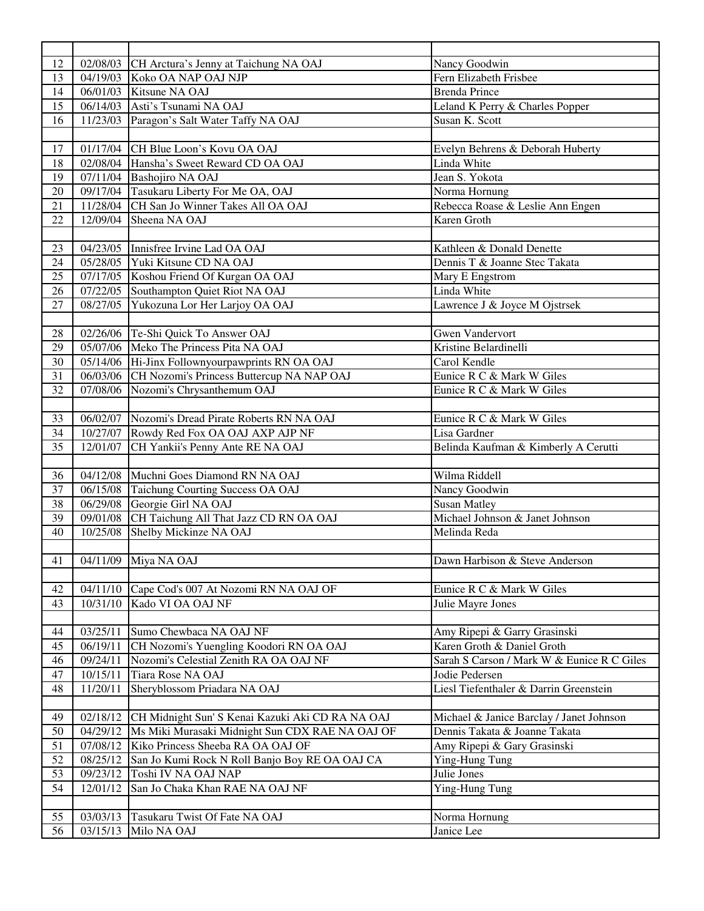| 12 | 02/08/03 | CH Arctura's Jenny at Taichung NA OAJ            | Nancy Goodwin                              |
|----|----------|--------------------------------------------------|--------------------------------------------|
| 13 | 04/19/03 | Koko OA NAP OAJ NJP                              | Fern Elizabeth Frisbee                     |
| 14 | 06/01/03 | Kitsune NA OAJ                                   | <b>Brenda Prince</b>                       |
| 15 | 06/14/03 | Asti's Tsunami NA OAJ                            | Leland K Perry & Charles Popper            |
| 16 | 11/23/03 | Paragon's Salt Water Taffy NA OAJ                | Susan K. Scott                             |
|    |          |                                                  |                                            |
| 17 |          | 01/17/04 CH Blue Loon's Kovu OA OAJ              | Evelyn Behrens & Deborah Huberty           |
| 18 |          | 02/08/04 Hansha's Sweet Reward CD OA OAJ         | Linda White                                |
| 19 |          | 07/11/04 Bashojiro NA OAJ                        | Jean S. Yokota                             |
| 20 |          | 09/17/04 Tasukaru Liberty For Me OA, OAJ         | Norma Hornung                              |
| 21 |          | 11/28/04 CH San Jo Winner Takes All OA OAJ       | Rebecca Roase & Leslie Ann Engen           |
| 22 | 12/09/04 | Sheena NA OAJ                                    | Karen Groth                                |
|    |          |                                                  |                                            |
| 23 |          | 04/23/05 Innisfree Irvine Lad OA OAJ             | Kathleen & Donald Denette                  |
| 24 |          | 05/28/05 Yuki Kitsune CD NA OAJ                  | Dennis T & Joanne Stec Takata              |
| 25 |          | 07/17/05 Koshou Friend Of Kurgan OA OAJ          | Mary E Engstrom                            |
| 26 | 07/22/05 | Southampton Quiet Riot NA OAJ                    | Linda White                                |
| 27 | 08/27/05 | Yukozuna Lor Her Larjoy OA OAJ                   | Lawrence J & Joyce M Ojstrsek              |
|    |          |                                                  |                                            |
| 28 |          | 02/26/06 Te-Shi Quick To Answer OAJ              | <b>Gwen Vandervort</b>                     |
| 29 |          | 05/07/06 Meko The Princess Pita NA OAJ           | Kristine Belardinelli                      |
| 30 |          | 05/14/06 Hi-Jinx Follownyourpawprints RN OA OAJ  | Carol Kendle                               |
| 31 | 06/03/06 | CH Nozomi's Princess Buttercup NA NAP OAJ        | Eunice R C & Mark W Giles                  |
| 32 | 07/08/06 | Nozomi's Chrysanthemum OAJ                       | Eunice R C & Mark W Giles                  |
|    |          |                                                  |                                            |
| 33 | 06/02/07 | Nozomi's Dread Pirate Roberts RN NA OAJ          | Eunice R C & Mark W Giles                  |
| 34 | 10/27/07 | Rowdy Red Fox OA OAJ AXP AJP NF                  | Lisa Gardner                               |
| 35 | 12/01/07 | CH Yankii's Penny Ante RE NA OAJ                 | Belinda Kaufman & Kimberly A Cerutti       |
|    |          |                                                  |                                            |
| 36 | 04/12/08 | Muchni Goes Diamond RN NA OAJ                    | Wilma Riddell                              |
| 37 | 06/15/08 | Taichung Courting Success OA OAJ                 | Nancy Goodwin                              |
| 38 | 06/29/08 | Georgie Girl NA OAJ                              | <b>Susan Matley</b>                        |
| 39 | 09/01/08 | CH Taichung All That Jazz CD RN OA OAJ           | Michael Johnson & Janet Johnson            |
| 40 | 10/25/08 | Shelby Mickinze NA OAJ                           | Melinda Reda                               |
|    |          |                                                  |                                            |
|    |          | 41 04/11/09 Miya NA OAJ                          | Dawn Harbison & Steve Anderson             |
|    |          |                                                  |                                            |
| 42 | 04/11/10 | Cape Cod's 007 At Nozomi RN NA OAJ OF            | Eunice R C & Mark W Giles                  |
| 43 | 10/31/10 | Kado VI OA OAJ NF                                | Julie Mayre Jones                          |
|    |          |                                                  |                                            |
| 44 | 03/25/11 | Sumo Chewbaca NA OAJ NF                          | Amy Ripepi & Garry Grasinski               |
| 45 | 06/19/11 | CH Nozomi's Yuengling Koodori RN OA OAJ          | Karen Groth & Daniel Groth                 |
| 46 | 09/24/11 | Nozomi's Celestial Zenith RA OA OAJ NF           | Sarah S Carson / Mark W & Eunice R C Giles |
| 47 | 10/15/11 | Tiara Rose NA OAJ                                | Jodie Pedersen                             |
| 48 | 11/20/11 | Sheryblossom Priadara NA OAJ                     | Liesl Tiefenthaler & Darrin Greenstein     |
|    |          |                                                  |                                            |
| 49 | 02/18/12 | CH Midnight Sun' S Kenai Kazuki Aki CD RA NA OAJ | Michael & Janice Barclay / Janet Johnson   |
| 50 | 04/29/12 | Ms Miki Murasaki Midnight Sun CDX RAE NA OAJ OF  | Dennis Takata & Joanne Takata              |
| 51 | 07/08/12 | Kiko Princess Sheeba RA OA OAJ OF                | Amy Ripepi & Gary Grasinski                |
| 52 | 08/25/12 | San Jo Kumi Rock N Roll Banjo Boy RE OA OAJ CA   | Ying-Hung Tung                             |
| 53 | 09/23/12 | Toshi IV NA OAJ NAP                              | Julie Jones                                |
| 54 | 12/01/12 | San Jo Chaka Khan RAE NA OAJ NF                  | Ying-Hung Tung                             |
|    |          |                                                  |                                            |
| 55 | 03/03/13 | Tasukaru Twist Of Fate NA OAJ                    | Norma Hornung                              |
| 56 | 03/15/13 | Milo NA OAJ                                      | Janice Lee                                 |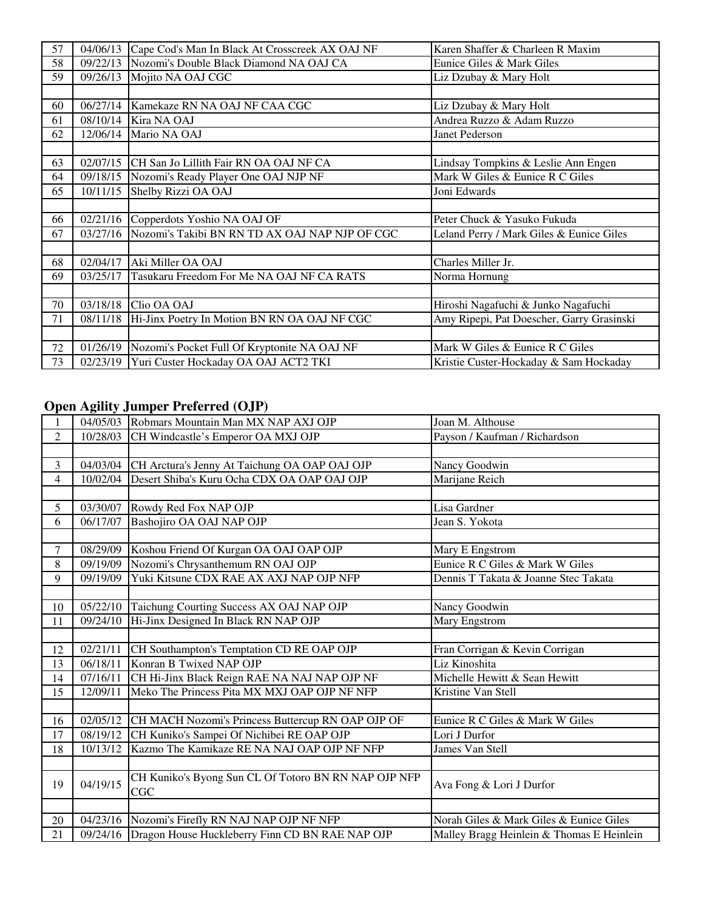| 57 | 04/06/13 | Cape Cod's Man In Black At Crosscreek AX OAJ NF | Karen Shaffer & Charleen R Maxim          |
|----|----------|-------------------------------------------------|-------------------------------------------|
| 58 | 09/22/13 | Nozomi's Double Black Diamond NA OAJ CA         | Eunice Giles & Mark Giles                 |
| 59 | 09/26/13 | Mojito NA OAJ CGC                               | Liz Dzubay & Mary Holt                    |
|    |          |                                                 |                                           |
| 60 | 06/27/14 | Kamekaze RN NA OAJ NF CAA CGC                   | Liz Dzubay & Mary Holt                    |
| 61 | 08/10/14 | Kira NA OAJ                                     | Andrea Ruzzo & Adam Ruzzo                 |
| 62 | 12/06/14 | Mario NA OAJ                                    | Janet Pederson                            |
|    |          |                                                 |                                           |
| 63 |          | 02/07/15 CH San Jo Lillith Fair RN OA OAJ NF CA | Lindsay Tompkins & Leslie Ann Engen       |
| 64 | 09/18/15 | Nozomi's Ready Player One OAJ NJP NF            | Mark W Giles & Eunice R C Giles           |
| 65 | 10/11/15 | Shelby Rizzi OA OAJ                             | Joni Edwards                              |
|    |          |                                                 |                                           |
| 66 | 02/21/16 | Copperdots Yoshio NA OAJ OF                     | Peter Chuck & Yasuko Fukuda               |
| 67 | 03/27/16 | Nozomi's Takibi BN RN TD AX OAJ NAP NJP OF CGC  | Leland Perry / Mark Giles & Eunice Giles  |
|    |          |                                                 |                                           |
| 68 | 02/04/17 | Aki Miller OA OAJ                               | Charles Miller Jr.                        |
| 69 | 03/25/17 | Tasukaru Freedom For Me NA OAJ NF CA RATS       | Norma Hornung                             |
|    |          |                                                 |                                           |
| 70 | 03/18/18 | Clio OA OAJ                                     | Hiroshi Nagafuchi & Junko Nagafuchi       |
| 71 | 08/11/18 | Hi-Jinx Poetry In Motion BN RN OA OAJ NF CGC    | Amy Ripepi, Pat Doescher, Garry Grasinski |
|    |          |                                                 |                                           |
| 72 | 01/26/19 | Nozomi's Pocket Full Of Kryptonite NA OAJ NF    | Mark W Giles & Eunice R C Giles           |
| 73 | 02/23/19 | Yuri Custer Hockaday OA OAJ ACT2 TKI            | Kristie Custer-Hockaday & Sam Hockaday    |

#### **Open Agility Jumper Preferred (OJP)**

|                | $\sim$ $\sim$ |                                                          |                                           |
|----------------|---------------|----------------------------------------------------------|-------------------------------------------|
|                |               | 04/05/03 Robmars Mountain Man MX NAP AXJ OJP             | Joan M. Althouse                          |
| 2              | 10/28/03      | CH Windcastle's Emperor OA MXJ OJP                       | Payson / Kaufman / Richardson             |
|                |               |                                                          |                                           |
| 3              | 04/03/04      | CH Arctura's Jenny At Taichung OA OAP OAJ OJP            | Nancy Goodwin                             |
| $\overline{4}$ | 10/02/04      | Desert Shiba's Kuru Ocha CDX OA OAP OAJ OJP              | Marijane Reich                            |
|                |               |                                                          |                                           |
| 5              | 03/30/07      | Rowdy Red Fox NAP OJP                                    | Lisa Gardner                              |
| 6              | 06/17/07      | Bashojiro OA OAJ NAP OJP                                 | Jean S. Yokota                            |
|                |               |                                                          |                                           |
| 7              | 08/29/09      | Koshou Friend Of Kurgan OA OAJ OAP OJP                   | Mary E Engstrom                           |
| 8              | 09/19/09      | Nozomi's Chrysanthemum RN OAJ OJP                        | Eunice R C Giles & Mark W Giles           |
| 9              | 09/19/09      | Yuki Kitsune CDX RAE AX AXJ NAP OJP NFP                  | Dennis T Takata & Joanne Stec Takata      |
|                |               |                                                          |                                           |
| 10             | 05/22/10      | Taichung Courting Success AX OAJ NAP OJP                 | Nancy Goodwin                             |
| 11             | 09/24/10      | Hi-Jinx Designed In Black RN NAP OJP                     | Mary Engstrom                             |
|                |               |                                                          |                                           |
| 12             | 02/21/11      | CH Southampton's Temptation CD RE OAP OJP                | Fran Corrigan & Kevin Corrigan            |
| 13             | 06/18/11      | Konran B Twixed NAP OJP                                  | Liz Kinoshita                             |
| 14             | 07/16/11      | CH Hi-Jinx Black Reign RAE NA NAJ NAP OJP NF             | Michelle Hewitt & Sean Hewitt             |
| 15             | 12/09/11      | Meko The Princess Pita MX MXJ OAP OJP NF NFP             | Kristine Van Stell                        |
|                |               |                                                          |                                           |
| 16             | 02/05/12      | CH MACH Nozomi's Princess Buttercup RN OAP OJP OF        | Eunice R C Giles & Mark W Giles           |
| 17             | 08/19/12      | CH Kuniko's Sampei Of Nichibei RE OAP OJP                | Lori J Durfor                             |
| 18             | 10/13/12      | Kazmo The Kamikaze RE NA NAJ OAP OJP NF NFP              | James Van Stell                           |
|                |               |                                                          |                                           |
| 19             | 04/19/15      | CH Kuniko's Byong Sun CL Of Totoro BN RN NAP OJP NFP     | Ava Fong & Lori J Durfor                  |
|                |               | CGC                                                      |                                           |
|                |               |                                                          |                                           |
| 20             |               | 04/23/16 Nozomi's Firefly RN NAJ NAP OJP NF NFP          | Norah Giles & Mark Giles & Eunice Giles   |
| 21             |               | 09/24/16 Dragon House Huckleberry Finn CD BN RAE NAP OJP | Malley Bragg Heinlein & Thomas E Heinlein |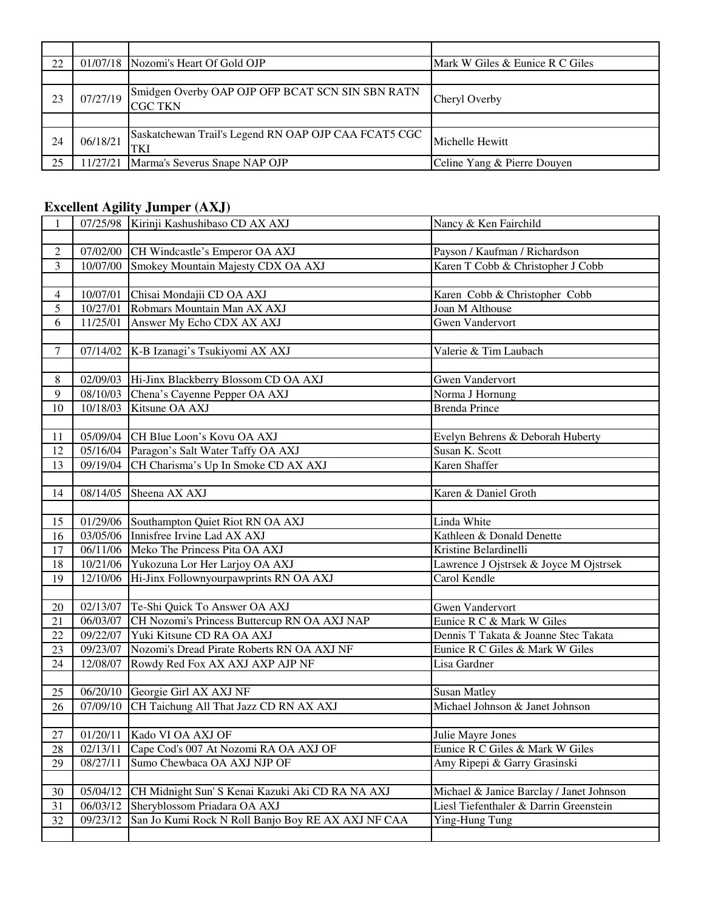| 22 |          | 01/07/18 Nozomi's Heart Of Gold OJP                                | Mark W Giles & Eunice R C Giles |
|----|----------|--------------------------------------------------------------------|---------------------------------|
|    |          |                                                                    |                                 |
| 23 | 07/27/19 | Smidgen Overby OAP OJP OFP BCAT SCN SIN SBN RATN<br><b>CGC TKN</b> | Cheryl Overby                   |
|    |          |                                                                    |                                 |
| 24 | 06/18/21 | Saskatchewan Trail's Legend RN OAP OJP CAA FCAT5 CGC<br><b>TKI</b> | Michelle Hewitt                 |
| 25 | 11/27/21 | Marma's Severus Snape NAP OJP                                      | Celine Yang & Pierre Douyen     |

## **Excellent Agility Jumper (AXJ)**

| 1              |                   | 07/25/98 Kirinji Kashushibaso CD AX AXJ            | Nancy & Ken Fairchild                    |
|----------------|-------------------|----------------------------------------------------|------------------------------------------|
|                |                   |                                                    |                                          |
| $\overline{c}$ |                   | 07/02/00 CH Windcastle's Emperor OA AXJ            | Payson / Kaufman / Richardson            |
| 3              |                   | 10/07/00 Smokey Mountain Majesty CDX OA AXJ        | Karen T Cobb & Christopher J Cobb        |
|                |                   |                                                    |                                          |
| $\overline{4}$ | 10/07/01          | Chisai Mondajii CD OA AXJ                          | Karen Cobb & Christopher Cobb            |
| 5              | 10/27/01          | Robmars Mountain Man AX AXJ                        | Joan M Althouse                          |
| 6              | 11/25/01          | Answer My Echo CDX AX AXJ                          | <b>Gwen Vandervort</b>                   |
|                |                   |                                                    |                                          |
| $\tau$         | $\sqrt{07}/14/02$ | K-B Izanagi's Tsukiyomi AX AXJ                     | Valerie & Tim Laubach                    |
|                |                   |                                                    |                                          |
| 8              |                   | 02/09/03 Hi-Jinx Blackberry Blossom CD OA AXJ      | <b>Gwen Vandervort</b>                   |
| 9              | 08/10/03          | Chena's Cayenne Pepper OA AXJ                      | Norma J Hornung                          |
| 10             | 10/18/03          | Kitsune OA AXJ                                     | <b>Brenda Prince</b>                     |
|                |                   |                                                    |                                          |
| 11             |                   | 05/09/04 CH Blue Loon's Kovu OA AXJ                | Evelyn Behrens & Deborah Huberty         |
| 12             |                   | 05/16/04 Paragon's Salt Water Taffy OA AXJ         | Susan K. Scott                           |
| 13             | 09/19/04          | CH Charisma's Up In Smoke CD AX AXJ                | Karen Shaffer                            |
|                |                   |                                                    |                                          |
| 14             | 08/14/05          | Sheena AX AXJ                                      | Karen & Daniel Groth                     |
|                |                   |                                                    |                                          |
| 15             |                   | 01/29/06 Southampton Quiet Riot RN OA AXJ          | Linda White                              |
| 16             | 03/05/06          | Innisfree Irvine Lad AX AXJ                        | Kathleen & Donald Denette                |
| 17             | 06/11/06          | Meko The Princess Pita OA AXJ                      | Kristine Belardinelli                    |
| $18\,$         | 10/21/06          | Yukozuna Lor Her Larjoy OA AXJ                     | Lawrence J Ojstrsek & Joyce M Ojstrsek   |
| 19             | 12/10/06          | Hi-Jinx Follownyourpawprints RN OA AXJ             | Carol Kendle                             |
|                |                   |                                                    |                                          |
| 20             | 02/13/07          | Te-Shi Quick To Answer OA AXJ                      | <b>Gwen Vandervort</b>                   |
| 21             | 06/03/07          | CH Nozomi's Princess Buttercup RN OA AXJ NAP       | Eunice R C & Mark W Giles                |
| 22             | 09/22/07          | Yuki Kitsune CD RA OA AXJ                          | Dennis T Takata & Joanne Stec Takata     |
| 23             | 09/23/07          | Nozomi's Dread Pirate Roberts RN OA AXJ NF         | Eunice R C Giles & Mark W Giles          |
| 24             | 12/08/07          | Rowdy Red Fox AX AXJ AXP AJP NF                    | Lisa Gardner                             |
|                |                   |                                                    |                                          |
| 25             | 06/20/10          | Georgie Girl AX AXJ NF                             | <b>Susan Matley</b>                      |
| 26             | 07/09/10          | CH Taichung All That Jazz CD RN AX AXJ             | Michael Johnson & Janet Johnson          |
|                |                   |                                                    |                                          |
| 27             | 01/20/11          | Kado VI OA AXJ OF                                  | Julie Mayre Jones                        |
| 28             | 02/13/11          | Cape Cod's 007 At Nozomi RA OA AXJ OF              | Eunice R C Giles & Mark W Giles          |
| 29             | 08/27/11          | Sumo Chewbaca OA AXJ NJP OF                        | Amy Ripepi & Garry Grasinski             |
|                |                   |                                                    |                                          |
| 30             | 05/04/12          | CH Midnight Sun' S Kenai Kazuki Aki CD RA NA AXJ   | Michael & Janice Barclay / Janet Johnson |
| 31             | 06/03/12          | Sheryblossom Priadara OA AXJ                       | Liesl Tiefenthaler & Darrin Greenstein   |
| 32             | 09/23/12          | San Jo Kumi Rock N Roll Banjo Boy RE AX AXJ NF CAA | Ying-Hung Tung                           |
|                |                   |                                                    |                                          |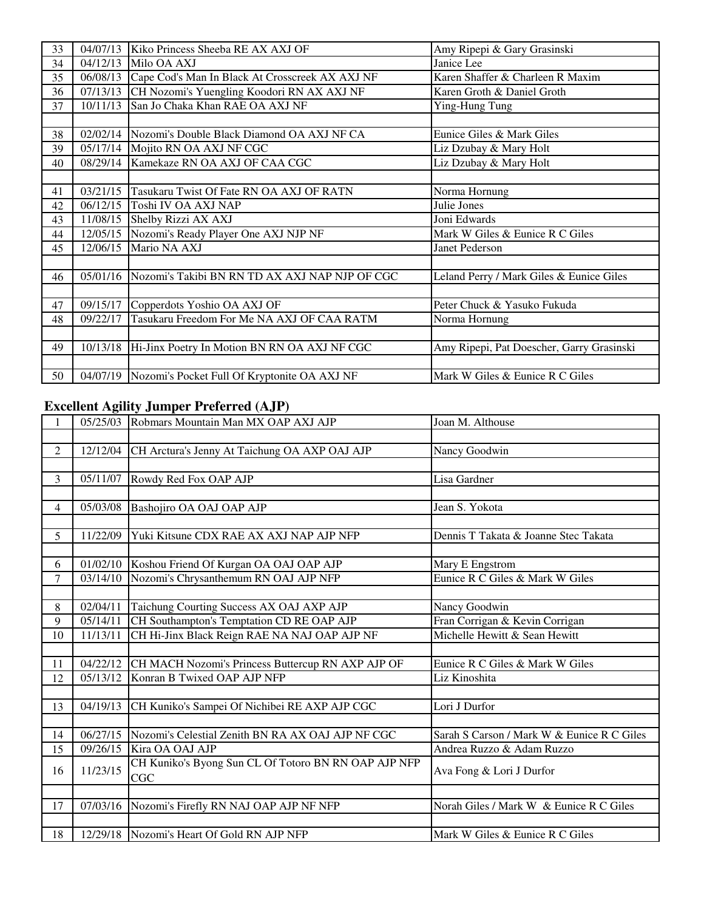| 33 | 04/07/13 | Kiko Princess Sheeba RE AX AXJ OF                     | Amy Ripepi & Gary Grasinski               |
|----|----------|-------------------------------------------------------|-------------------------------------------|
| 34 | 04/12/13 | Milo OA AXJ                                           | Janice Lee                                |
| 35 | 06/08/13 | Cape Cod's Man In Black At Crosscreek AX AXJ NF       | Karen Shaffer & Charleen R Maxim          |
| 36 | 07/13/13 | CH Nozomi's Yuengling Koodori RN AX AXJ NF            | Karen Groth & Daniel Groth                |
| 37 | 10/11/13 | San Jo Chaka Khan RAE OA AXJ NF                       | Ying-Hung Tung                            |
|    |          |                                                       |                                           |
| 38 | 02/02/14 | Nozomi's Double Black Diamond OA AXJ NF CA            | Eunice Giles & Mark Giles                 |
| 39 |          | 05/17/14 Mojito RN OA AXJ NF CGC                      | Liz Dzubay & Mary Holt                    |
| 40 |          | 08/29/14 Kamekaze RN OA AXJ OF CAA CGC                | Liz Dzubay & Mary Holt                    |
|    |          |                                                       |                                           |
| 41 | 03/21/15 | Tasukaru Twist Of Fate RN OA AXJ OF RATN              | Norma Hornung                             |
| 42 | 06/12/15 | Toshi IV OA AXJ NAP                                   | Julie Jones                               |
| 43 | 11/08/15 | Shelby Rizzi AX AXJ                                   | Joni Edwards                              |
| 44 | 12/05/15 | Nozomi's Ready Player One AXJ NJP NF                  | Mark W Giles & Eunice R C Giles           |
| 45 | 12/06/15 | Mario NA AXJ                                          | Janet Pederson                            |
|    |          |                                                       |                                           |
| 46 | 05/01/16 | Nozomi's Takibi BN RN TD AX AXJ NAP NJP OF CGC        | Leland Perry / Mark Giles & Eunice Giles  |
|    |          |                                                       |                                           |
| 47 | 09/15/17 | Copperdots Yoshio OA AXJ OF                           | Peter Chuck & Yasuko Fukuda               |
| 48 | 09/22/17 | Tasukaru Freedom For Me NA AXJ OF CAA RATM            | Norma Hornung                             |
|    |          |                                                       |                                           |
| 49 | 10/13/18 | Hi-Jinx Poetry In Motion BN RN OA AXJ NF CGC          | Amy Ripepi, Pat Doescher, Garry Grasinski |
|    |          |                                                       |                                           |
| 50 |          | 04/07/19 Nozomi's Pocket Full Of Kryptonite OA AXJ NF | Mark W Giles & Eunice R C Giles           |

#### **Excellent Agility Jumper Preferred (AJP)**

| $\mathbf{1}$   |          | 05/25/03 Robmars Mountain Man MX OAP AXJ AJP         | Joan M. Althouse                           |
|----------------|----------|------------------------------------------------------|--------------------------------------------|
|                |          |                                                      |                                            |
| $\overline{2}$ | 12/12/04 | CH Arctura's Jenny At Taichung OA AXP OAJ AJP        | Nancy Goodwin                              |
|                |          |                                                      |                                            |
| 3              | 05/11/07 | Rowdy Red Fox OAP AJP                                | Lisa Gardner                               |
|                |          |                                                      |                                            |
| $\overline{4}$ | 05/03/08 | Bashojiro OA OAJ OAP AJP                             | Jean S. Yokota                             |
|                |          |                                                      |                                            |
| 5              | 11/22/09 | Yuki Kitsune CDX RAE AX AXJ NAP AJP NFP              | Dennis T Takata & Joanne Stec Takata       |
|                |          |                                                      |                                            |
| 6              | 01/02/10 | Koshou Friend Of Kurgan OA OAJ OAP AJP               | Mary E Engstrom                            |
| 7              | 03/14/10 | Nozomi's Chrysanthemum RN OAJ AJP NFP                | Eunice R C Giles & Mark W Giles            |
|                |          |                                                      |                                            |
| 8              | 02/04/11 | Taichung Courting Success AX OAJ AXP AJP             | Nancy Goodwin                              |
| 9              | 05/14/11 | CH Southampton's Temptation CD RE OAP AJP            | Fran Corrigan & Kevin Corrigan             |
| 10             | 11/13/11 | CH Hi-Jinx Black Reign RAE NA NAJ OAP AJP NF         | Michelle Hewitt & Sean Hewitt              |
|                |          |                                                      |                                            |
| 11             | 04/22/12 | CH MACH Nozomi's Princess Buttercup RN AXP AJP OF    | Eunice R C Giles & Mark W Giles            |
| 12             | 05/13/12 | Konran B Twixed OAP AJP NFP                          | Liz Kinoshita                              |
|                |          |                                                      |                                            |
| 13             | 04/19/13 | CH Kuniko's Sampei Of Nichibei RE AXP AJP CGC        | Lori J Durfor                              |
|                |          |                                                      |                                            |
| 14             | 06/27/15 | Nozomi's Celestial Zenith BN RA AX OAJ AJP NF CGC    | Sarah S Carson / Mark W & Eunice R C Giles |
| 15             | 09/26/15 | Kira OA OAJ AJP                                      | Andrea Ruzzo & Adam Ruzzo                  |
| 16             | 11/23/15 | CH Kuniko's Byong Sun CL Of Totoro BN RN OAP AJP NFP | Ava Fong & Lori J Durfor                   |
|                |          | CGC                                                  |                                            |
|                |          |                                                      |                                            |
| 17             | 07/03/16 | Nozomi's Firefly RN NAJ OAP AJP NF NFP               | Norah Giles / Mark W & Eunice R C Giles    |
|                |          |                                                      |                                            |
| 18             |          | 12/29/18 Nozomi's Heart Of Gold RN AJP NFP           | Mark W Giles & Eunice R C Giles            |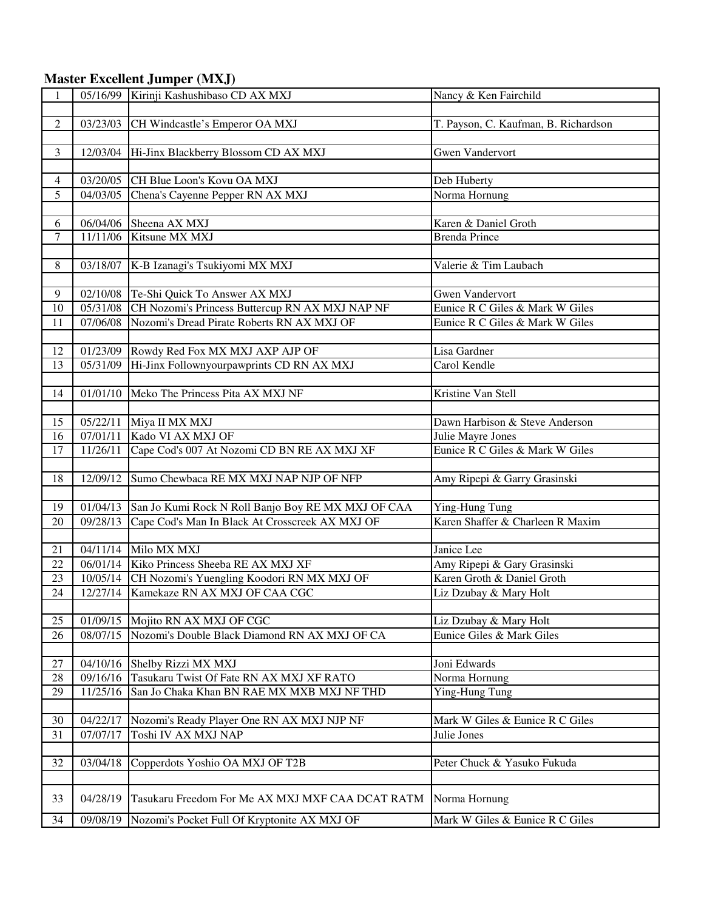## **Master Excellent Jumper (MXJ)**

| 1              | 05/16/99          | Kirinji Kashushibaso CD AX MXJ                      | Nancy & Ken Fairchild                |
|----------------|-------------------|-----------------------------------------------------|--------------------------------------|
|                |                   |                                                     |                                      |
| $\sqrt{2}$     |                   | 03/23/03 CH Windcastle's Emperor OA MXJ             | T. Payson, C. Kaufman, B. Richardson |
|                |                   |                                                     |                                      |
| 3              |                   | 12/03/04 Hi-Jinx Blackberry Blossom CD AX MXJ       | <b>Gwen Vandervort</b>               |
|                |                   |                                                     |                                      |
| $\overline{4}$ |                   | 03/20/05 CH Blue Loon's Kovu OA MXJ                 | Deb Huberty                          |
| 5              | 04/03/05          | Chena's Cayenne Pepper RN AX MXJ                    | Norma Hornung                        |
|                |                   |                                                     |                                      |
| 6              | 06/04/06          | Sheena AX MXJ                                       | Karen & Daniel Groth                 |
| $\overline{7}$ | 11/11/06          | Kitsune MX MXJ                                      | <b>Brenda Prince</b>                 |
|                |                   |                                                     |                                      |
| 8              | 03/18/07          | K-B Izanagi's Tsukiyomi MX MXJ                      | Valerie & Tim Laubach                |
|                |                   |                                                     |                                      |
| 9              |                   | 02/10/08 Te-Shi Quick To Answer AX MXJ              | <b>Gwen Vandervort</b>               |
| 10             | 05/31/08          | CH Nozomi's Princess Buttercup RN AX MXJ NAP NF     | Eunice R C Giles & Mark W Giles      |
| 11             | 07/06/08          | Nozomi's Dread Pirate Roberts RN AX MXJ OF          | Eunice R C Giles & Mark W Giles      |
|                |                   |                                                     |                                      |
| 12             | 01/23/09          | Rowdy Red Fox MX MXJ AXP AJP OF                     | Lisa Gardner                         |
| 13             | 05/31/09          | Hi-Jinx Follownyourpawprints CD RN AX MXJ           | Carol Kendle                         |
|                |                   |                                                     |                                      |
| 14             | 01/01/10          | Meko The Princess Pita AX MXJ NF                    | Kristine Van Stell                   |
|                |                   |                                                     |                                      |
| 15             |                   | 05/22/11 Miya II MX MXJ                             | Dawn Harbison & Steve Anderson       |
| 16             | 07/01/11          | Kado VI AX MXJ OF                                   | Julie Mayre Jones                    |
| 17             | 11/26/11          | Cape Cod's 007 At Nozomi CD BN RE AX MXJ XF         | Eunice R C Giles & Mark W Giles      |
|                |                   |                                                     |                                      |
| 18             | 12/09/12          | Sumo Chewbaca RE MX MXJ NAP NJP OF NFP              | Amy Ripepi & Garry Grasinski         |
|                |                   |                                                     |                                      |
| 19             | $\sqrt{01/04/13}$ | San Jo Kumi Rock N Roll Banjo Boy RE MX MXJ OF CAA  | Ying-Hung Tung                       |
| 20             | 09/28/13          | Cape Cod's Man In Black At Crosscreek AX MXJ OF     | Karen Shaffer & Charleen R Maxim     |
|                |                   |                                                     |                                      |
| 21             |                   | 04/11/14 Milo MX MXJ                                | Janice Lee                           |
| 22             |                   | 06/01/14 Kiko Princess Sheeba RE AX MXJ XF          | Amy Ripepi & Gary Grasinski          |
| 23             |                   | 10/05/14 CH Nozomi's Yuengling Koodori RN MX MXJ OF | Karen Groth & Daniel Groth           |
| 24             | 12/27/14          | Kamekaze RN AX MXJ OF CAA CGC                       | Liz Dzubay & Mary Holt               |
|                |                   |                                                     |                                      |
| 25             | 01/09/15          | Mojito RN AX MXJ OF CGC                             | Liz Dzubay & Mary Holt               |
| 26             | 08/07/15          | Nozomi's Double Black Diamond RN AX MXJ OF CA       | Eunice Giles & Mark Giles            |
|                |                   |                                                     |                                      |
| 27             | 04/10/16          | Shelby Rizzi MX MXJ                                 | Joni Edwards                         |
| 28             | 09/16/16          | Tasukaru Twist Of Fate RN AX MXJ XF RATO            | Norma Hornung                        |
| 29             | 11/25/16          | San Jo Chaka Khan BN RAE MX MXB MXJ NF THD          | Ying-Hung Tung                       |
|                |                   |                                                     |                                      |
| 30             | 04/22/17          | Nozomi's Ready Player One RN AX MXJ NJP NF          | Mark W Giles & Eunice R C Giles      |
| 31             | 07/07/17          | Toshi IV AX MXJ NAP                                 | Julie Jones                          |
|                |                   |                                                     |                                      |
| 32             | 03/04/18          | Copperdots Yoshio OA MXJ OF T2B                     | Peter Chuck & Yasuko Fukuda          |
|                |                   |                                                     |                                      |
| 33             | 04/28/19          | Tasukaru Freedom For Me AX MXJ MXF CAA DCAT RATM    | Norma Hornung                        |
| 34             | 09/08/19          | Nozomi's Pocket Full Of Kryptonite AX MXJ OF        | Mark W Giles & Eunice R C Giles      |